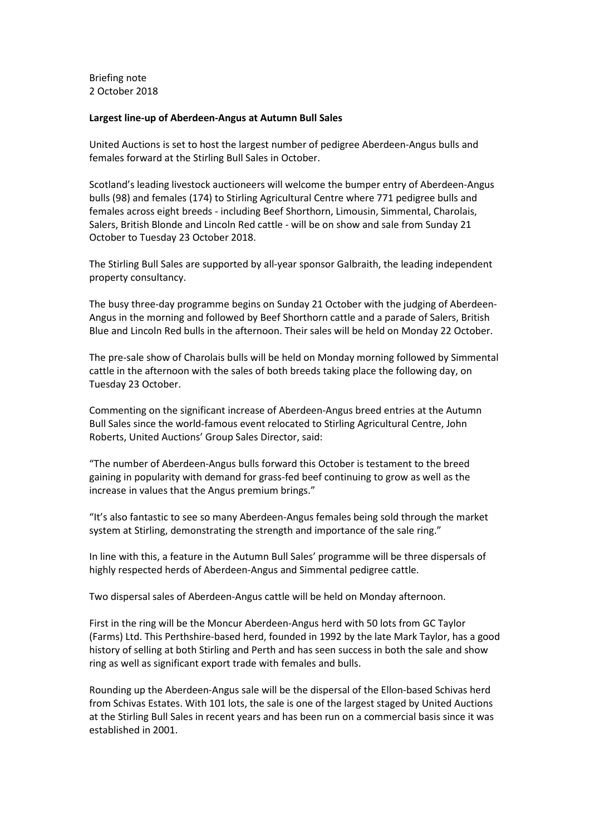Briefing note 2 October 2018

## **Largest line-up of Aberdeen-Angus at Autumn Bull Sales**

United Auctions is set to host the largest number of pedigree Aberdeen-Angus bulls and females forward at the Stirling Bull Sales in October.

Scotland's leading livestock auctioneers will welcome the bumper entry of Aberdeen-Angus bulls (98) and females (174) to Stirling Agricultural Centre where 771 pedigree bulls and females across eight breeds - including Beef Shorthorn, Limousin, Simmental, Charolais, Salers, British Blonde and Lincoln Red cattle - will be on show and sale from Sunday 21 October to Tuesday 23 October 2018.

The Stirling Bull Sales are supported by all-year sponsor Galbraith, the leading independent property consultancy.

The busy three-day programme begins on Sunday 21 October with the judging of Aberdeen-Angus in the morning and followed by Beef Shorthorn cattle and a parade of Salers, British Blue and Lincoln Red bulls in the afternoon. Their sales will be held on Monday 22 October.

The pre-sale show of Charolais bulls will be held on Monday morning followed by Simmental cattle in the afternoon with the sales of both breeds taking place the following day, on Tuesday 23 October.

Commenting on the significant increase of Aberdeen-Angus breed entries at the Autumn Bull Sales since the world-famous event relocated to Stirling Agricultural Centre, John Roberts, United Auctions' Group Sales Director, said:

"The number of Aberdeen-Angus bulls forward this October is testament to the breed gaining in popularity with demand for grass-fed beef continuing to grow as well as the increase in values that the Angus premium brings."

"It's also fantastic to see so many Aberdeen-Angus females being sold through the market system at Stirling, demonstrating the strength and importance of the sale ring."

In line with this, a feature in the Autumn Bull Sales' programme will be three dispersals of highly respected herds of Aberdeen-Angus and Simmental pedigree cattle.

Two dispersal sales of Aberdeen-Angus cattle will be held on Monday afternoon.

First in the ring will be the Moncur Aberdeen-Angus herd with 50 lots from GC Taylor (Farms) Ltd. This Perthshire-based herd, founded in 1992 by the late Mark Taylor, has a good history of selling at both Stirling and Perth and has seen success in both the sale and show ring as well as significant export trade with females and bulls.

Rounding up the Aberdeen-Angus sale will be the dispersal of the Ellon-based Schivas herd from Schivas Estates. With 101 lots, the sale is one of the largest staged by United Auctions at the Stirling Bull Sales in recent years and has been run on a commercial basis since it was established in 2001.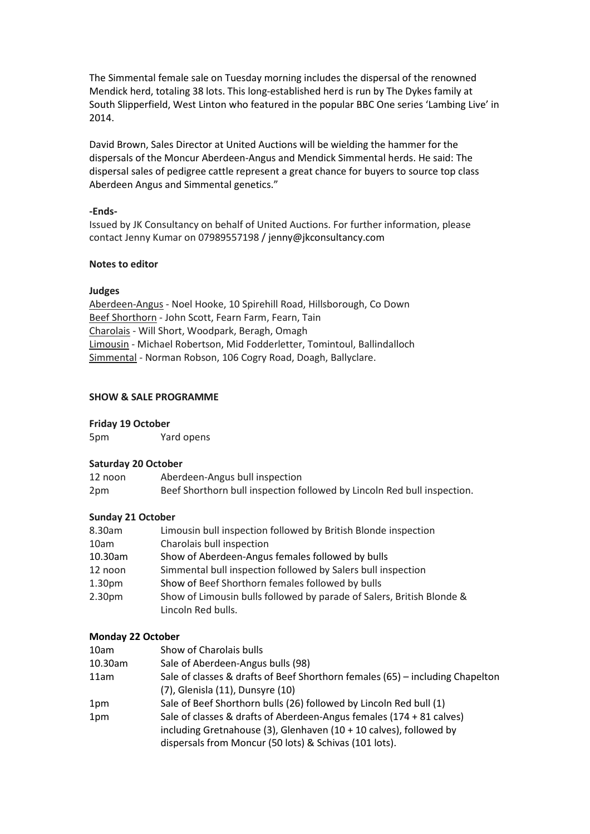The Simmental female sale on Tuesday morning includes the dispersal of the renowned Mendick herd, totaling 38 lots. This long-established herd is run by The Dykes family at South Slipperfield, West Linton who featured in the popular BBC One series 'Lambing Live' in 2014.

David Brown, Sales Director at United Auctions will be wielding the hammer for the dispersals of the Moncur Aberdeen-Angus and Mendick Simmental herds. He said: The dispersal sales of pedigree cattle represent a great chance for buyers to source top class Aberdeen Angus and Simmental genetics."

## **-Ends-**

Issued by JK Consultancy on behalf of United Auctions. For further information, please contact Jenny Kumar on 07989557198 / jenny@jkconsultancy.com

#### **Notes to editor**

### **Judges**

Aberdeen-Angus - Noel Hooke, 10 Spirehill Road, Hillsborough, Co Down Beef Shorthorn - John Scott, Fearn Farm, Fearn, Tain Charolais - Will Short, Woodpark, Beragh, Omagh Limousin - Michael Robertson, Mid Fodderletter, Tomintoul, Ballindalloch Simmental - Norman Robson, 106 Cogry Road, Doagh, Ballyclare.

### **SHOW & SALE PROGRAMME**

#### **Friday 19 October**

5pm Yard opens

#### **Saturday 20 October**

| 12 noon | Aberdeen-Angus bull inspection                                          |
|---------|-------------------------------------------------------------------------|
| 2pm     | Beef Shorthorn bull inspection followed by Lincoln Red bull inspection. |

### **Sunday 21 October**

| 8.30am  | Limousin bull inspection followed by British Blonde inspection        |
|---------|-----------------------------------------------------------------------|
| 10am    | Charolais bull inspection                                             |
| 10.30am | Show of Aberdeen-Angus females followed by bulls                      |
| 12 noon | Simmental bull inspection followed by Salers bull inspection          |
| 1.30pm  | Show of Beef Shorthorn females followed by bulls                      |
| 2.30pm  | Show of Limousin bulls followed by parade of Salers, British Blonde & |
|         | Lincoln Red bulls.                                                    |

### **Monday 22 October**

| 10am    | Show of Charolais bulls                                                       |
|---------|-------------------------------------------------------------------------------|
| 10.30am | Sale of Aberdeen-Angus bulls (98)                                             |
| 11am    | Sale of classes & drafts of Beef Shorthorn females (65) - including Chapelton |
|         | (7), Glenisla (11), Dunsyre (10)                                              |
| 1pm     | Sale of Beef Shorthorn bulls (26) followed by Lincoln Red bull (1)            |
| 1pm     | Sale of classes & drafts of Aberdeen-Angus females (174 + 81 calves)          |
|         | including Gretnahouse (3), Glenhaven (10 + 10 calves), followed by            |
|         | dispersals from Moncur (50 lots) & Schivas (101 lots).                        |